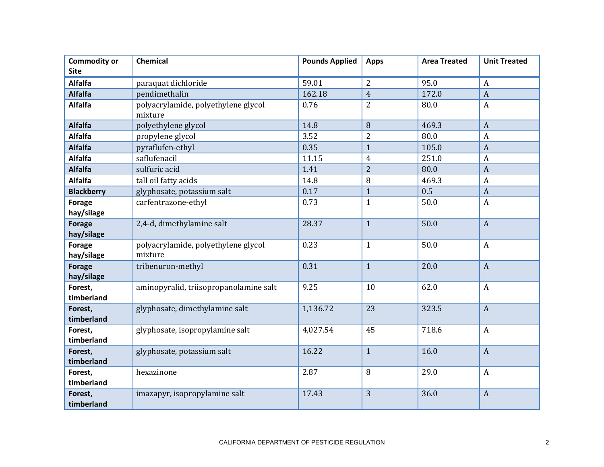| <b>Commodity or</b><br><b>Site</b> | Chemical                                       | <b>Pounds Applied</b> | <b>Apps</b>    | <b>Area Treated</b> | <b>Unit Treated</b> |
|------------------------------------|------------------------------------------------|-----------------------|----------------|---------------------|---------------------|
| <b>Alfalfa</b>                     | paraquat dichloride                            | 59.01                 | $\overline{2}$ | 95.0                | $\overline{A}$      |
| <b>Alfalfa</b>                     | pendimethalin                                  | 162.18                | $\overline{4}$ | 172.0               | $\overline{A}$      |
| <b>Alfalfa</b>                     | polyacrylamide, polyethylene glycol<br>mixture | 0.76                  | $\overline{2}$ | 80.0                | $\boldsymbol{A}$    |
| <b>Alfalfa</b>                     | polyethylene glycol                            | 14.8                  | 8              | 469.3               | $\overline{A}$      |
| <b>Alfalfa</b>                     | propylene glycol                               | 3.52                  | $\overline{2}$ | 80.0                | $\boldsymbol{A}$    |
| <b>Alfalfa</b>                     | pyraflufen-ethyl                               | 0.35                  | $\mathbf{1}$   | 105.0               | $\boldsymbol{A}$    |
| <b>Alfalfa</b>                     | saflufenacil                                   | 11.15                 | $\overline{4}$ | 251.0               | $\boldsymbol{A}$    |
| <b>Alfalfa</b>                     | sulfuric acid                                  | 1.41                  | $\overline{2}$ | 80.0                | $\overline{A}$      |
| <b>Alfalfa</b>                     | tall oil fatty acids                           | 14.8                  | 8              | 469.3               | $\boldsymbol{A}$    |
| <b>Blackberry</b>                  | glyphosate, potassium salt                     | 0.17                  | $\mathbf{1}$   | 0.5                 | $\overline{A}$      |
| <b>Forage</b><br>hay/silage        | carfentrazone-ethyl                            | 0.73                  | $\mathbf{1}$   | 50.0                | $\boldsymbol{A}$    |
| <b>Forage</b><br>hay/silage        | 2,4-d, dimethylamine salt                      | 28.37                 | $\mathbf{1}$   | 50.0                | $\boldsymbol{A}$    |
| Forage<br>hay/silage               | polyacrylamide, polyethylene glycol<br>mixture | 0.23                  | $\mathbf{1}$   | 50.0                | $\boldsymbol{A}$    |
| <b>Forage</b><br>hay/silage        | tribenuron-methyl                              | 0.31                  | $\mathbf{1}$   | 20.0                | $\overline{A}$      |
| Forest,<br>timberland              | aminopyralid, triisopropanolamine salt         | 9.25                  | 10             | 62.0                | $\boldsymbol{A}$    |
| Forest,<br>timberland              | glyphosate, dimethylamine salt                 | 1,136.72              | 23             | 323.5               | $\overline{A}$      |
| Forest,<br>timberland              | glyphosate, isopropylamine salt                | 4,027.54              | 45             | 718.6               | $\boldsymbol{A}$    |
| Forest,<br>timberland              | glyphosate, potassium salt                     | 16.22                 | $\mathbf{1}$   | 16.0                | $\boldsymbol{A}$    |
| Forest,<br>timberland              | hexazinone                                     | 2.87                  | 8              | 29.0                | $\boldsymbol{A}$    |
| Forest,<br>timberland              | imazapyr, isopropylamine salt                  | 17.43                 | 3              | 36.0                | $\mathbf{A}$        |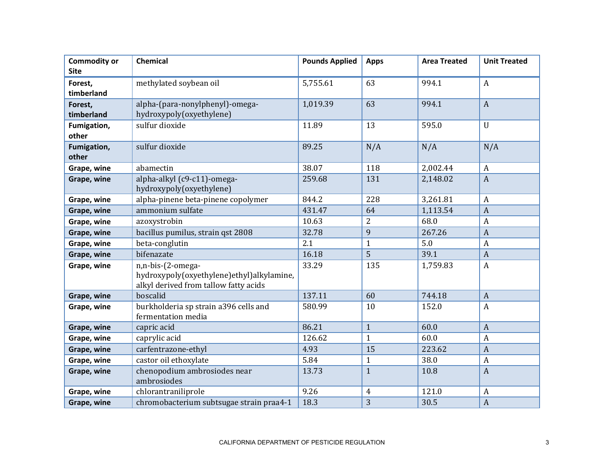| <b>Commodity or</b><br><b>Site</b> | Chemical                                                                                                | <b>Pounds Applied</b> | <b>Apps</b>    | <b>Area Treated</b> | <b>Unit Treated</b> |
|------------------------------------|---------------------------------------------------------------------------------------------------------|-----------------------|----------------|---------------------|---------------------|
| Forest,<br>timberland              | methylated soybean oil                                                                                  | 5,755.61              | 63             | 994.1               | $\boldsymbol{A}$    |
| Forest,<br>timberland              | alpha-(para-nonylphenyl)-omega-<br>hydroxypoly(oxyethylene)                                             | 1,019.39              | 63             | 994.1               | $\boldsymbol{A}$    |
| Fumigation,<br>other               | sulfur dioxide                                                                                          | 11.89                 | 13             | 595.0               | $\mathbf{U}$        |
| Fumigation,<br>other               | sulfur dioxide                                                                                          | 89.25                 | N/A            | N/A                 | N/A                 |
| Grape, wine                        | abamectin                                                                                               | 38.07                 | 118            | 2,002.44            | $\boldsymbol{A}$    |
| Grape, wine                        | alpha-alkyl (c9-c11)-omega-<br>hydroxypoly(oxyethylene)                                                 | 259.68                | 131            | 2,148.02            | $\overline{A}$      |
| Grape, wine                        | alpha-pinene beta-pinene copolymer                                                                      | 844.2                 | 228            | 3,261.81            | $\boldsymbol{A}$    |
| Grape, wine                        | ammonium sulfate                                                                                        | 431.47                | 64             | 1,113.54            | $\overline{A}$      |
| Grape, wine                        | azoxystrobin                                                                                            | 10.63                 | $\overline{2}$ | 68.0                | $\boldsymbol{A}$    |
| Grape, wine                        | bacillus pumilus, strain qst 2808                                                                       | 32.78                 | 9              | 267.26              | $\boldsymbol{A}$    |
| Grape, wine                        | beta-conglutin                                                                                          | 2.1                   | $\mathbf{1}$   | 5.0                 | $\boldsymbol{A}$    |
| Grape, wine                        | bifenazate                                                                                              | 16.18                 | 5              | 39.1                | $\overline{A}$      |
| Grape, wine                        | n,n-bis-(2-omega-<br>hydroxypoly(oxyethylene)ethyl)alkylamine,<br>alkyl derived from tallow fatty acids | 33.29                 | 135            | 1,759.83            | $\boldsymbol{A}$    |
| Grape, wine                        | boscalid                                                                                                | 137.11                | 60             | 744.18              | $\overline{A}$      |
| Grape, wine                        | burkholderia sp strain a396 cells and<br>fermentation media                                             | 580.99                | 10             | 152.0               | $\boldsymbol{A}$    |
| Grape, wine                        | capric acid                                                                                             | 86.21                 | $\mathbf{1}$   | 60.0                | $\boldsymbol{A}$    |
| Grape, wine                        | caprylic acid                                                                                           | 126.62                | $\mathbf{1}$   | 60.0                | $\overline{A}$      |
| Grape, wine                        | carfentrazone-ethyl                                                                                     | 4.93                  | 15             | 223.62              | $\overline{A}$      |
| Grape, wine                        | castor oil ethoxylate                                                                                   | 5.84                  | $\mathbf{1}$   | 38.0                | $\boldsymbol{A}$    |
| Grape, wine                        | chenopodium ambrosiodes near<br>ambrosiodes                                                             | 13.73                 | $\mathbf{1}$   | 10.8                | $\overline{A}$      |
| Grape, wine                        | chlorantraniliprole                                                                                     | 9.26                  | $\overline{4}$ | 121.0               | $\boldsymbol{A}$    |
| Grape, wine                        | chromobacterium subtsugae strain praa4-1                                                                | 18.3                  | 3              | 30.5                | $\overline{A}$      |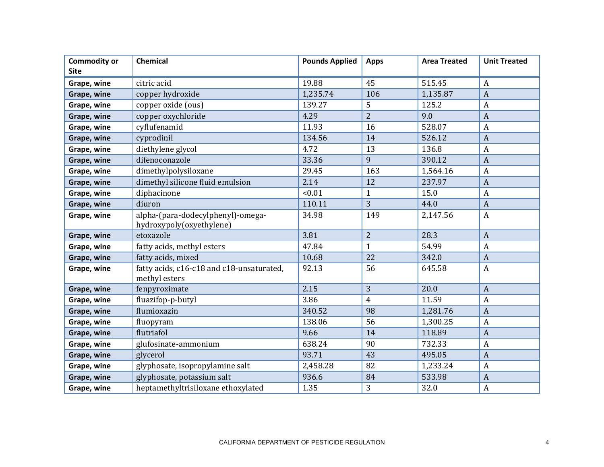| <b>Commodity or</b><br><b>Site</b> | Chemical                                                      | <b>Pounds Applied</b> | <b>Apps</b>    | <b>Area Treated</b> | <b>Unit Treated</b> |
|------------------------------------|---------------------------------------------------------------|-----------------------|----------------|---------------------|---------------------|
| Grape, wine                        | citric acid                                                   | 19.88                 | 45             | 515.45              | $\boldsymbol{A}$    |
| Grape, wine                        | copper hydroxide                                              | 1,235.74              | 106            | 1,135.87            | $\overline{A}$      |
| Grape, wine                        | copper oxide (ous)                                            | 139.27                | 5              | 125.2               | $\overline{A}$      |
| Grape, wine                        | copper oxychloride                                            | 4.29                  | $\overline{2}$ | 9.0                 | $\overline{A}$      |
| Grape, wine                        | cyflufenamid                                                  | 11.93                 | 16             | 528.07              | $\overline{A}$      |
| Grape, wine                        | cyprodinil                                                    | 134.56                | 14             | 526.12              | $\boldsymbol{A}$    |
| Grape, wine                        | diethylene glycol                                             | 4.72                  | 13             | 136.8               | $\overline{A}$      |
| Grape, wine                        | difenoconazole                                                | 33.36                 | 9              | 390.12              | $\overline{A}$      |
| Grape, wine                        | dimethylpolysiloxane                                          | 29.45                 | 163            | 1,564.16            | $\boldsymbol{A}$    |
| Grape, wine                        | dimethyl silicone fluid emulsion                              | 2.14                  | 12             | 237.97              | $\overline{A}$      |
| Grape, wine                        | diphacinone                                                   | < 0.01                | $\mathbf{1}$   | 15.0                | $\overline{A}$      |
| Grape, wine                        | diuron                                                        | 110.11                | 3              | 44.0                | $\overline{A}$      |
| Grape, wine                        | alpha-(para-dodecylphenyl)-omega-<br>hydroxypoly(oxyethylene) | 34.98                 | 149            | 2,147.56            | $\boldsymbol{A}$    |
| Grape, wine                        | etoxazole                                                     | 3.81                  | $\overline{2}$ | 28.3                | $\overline{A}$      |
| Grape, wine                        | fatty acids, methyl esters                                    | 47.84                 | $\mathbf{1}$   | 54.99               | $\boldsymbol{A}$    |
| Grape, wine                        | fatty acids, mixed                                            | 10.68                 | 22             | 342.0               | $\overline{A}$      |
| Grape, wine                        | fatty acids, c16-c18 and c18-unsaturated,<br>methyl esters    | 92.13                 | 56             | 645.58              | $\overline{A}$      |
| Grape, wine                        | fenpyroximate                                                 | 2.15                  | 3              | 20.0                | $\overline{A}$      |
| Grape, wine                        | fluazifop-p-butyl                                             | 3.86                  | $\overline{4}$ | 11.59               | $\overline{A}$      |
| Grape, wine                        | flumioxazin                                                   | 340.52                | 98             | 1,281.76            | $\boldsymbol{A}$    |
| Grape, wine                        | fluopyram                                                     | 138.06                | 56             | 1,300.25            | $\overline{A}$      |
| Grape, wine                        | flutriafol                                                    | 9.66                  | 14             | 118.89              | $\overline{A}$      |
| Grape, wine                        | glufosinate-ammonium                                          | 638.24                | 90             | 732.33              | $\boldsymbol{A}$    |
| Grape, wine                        | glycerol                                                      | 93.71                 | 43             | 495.05              | $\overline{A}$      |
| Grape, wine                        | glyphosate, isopropylamine salt                               | 2,458.28              | 82             | 1,233.24            | $\overline{A}$      |
| Grape, wine                        | glyphosate, potassium salt                                    | 936.6                 | 84             | 533.98              | $\overline{A}$      |
| Grape, wine                        | heptamethyltrisiloxane ethoxylated                            | 1.35                  | 3              | 32.0                | $\boldsymbol{A}$    |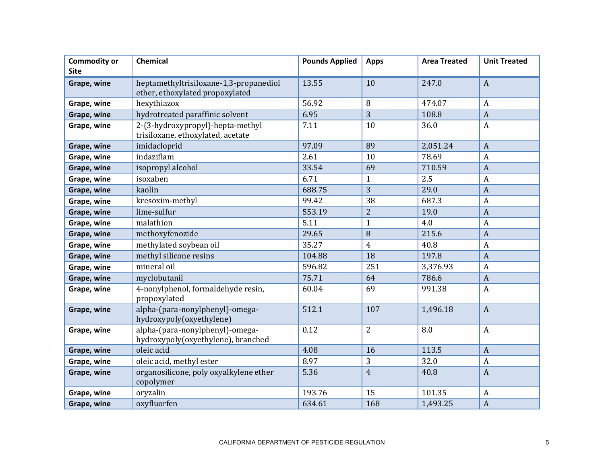| <b>Commodity or</b><br><b>Site</b> | Chemical                                                                  | <b>Pounds Applied</b> | <b>Apps</b>    | <b>Area Treated</b> | <b>Unit Treated</b> |
|------------------------------------|---------------------------------------------------------------------------|-----------------------|----------------|---------------------|---------------------|
| Grape, wine                        | heptamethyltrisiloxane-1,3-propanediol<br>ether, ethoxylated propoxylated | 13.55                 | 10             | 247.0               | $\boldsymbol{A}$    |
| Grape, wine                        | hexythiazox                                                               | 56.92                 | 8              | 474.07              | $\boldsymbol{A}$    |
| Grape, wine                        | hydrotreated paraffinic solvent                                           | 6.95                  | $\overline{3}$ | 108.8               | $\boldsymbol{A}$    |
| Grape, wine                        | 2-(3-hydroxypropyl)-hepta-methyl<br>trisiloxane, ethoxylated, acetate     | 7.11                  | 10             | 36.0                | $\boldsymbol{A}$    |
| Grape, wine                        | imidacloprid                                                              | 97.09                 | 89             | 2,051.24            | $\overline{A}$      |
| Grape, wine                        | indaziflam                                                                | 2.61                  | 10             | 78.69               | A                   |
| Grape, wine                        | isopropyl alcohol                                                         | 33.54                 | 69             | 710.59              | $\overline{A}$      |
| Grape, wine                        | isoxaben                                                                  | 6.71                  | $\mathbf{1}$   | 2.5                 | $\mathbf{A}$        |
| Grape, wine                        | kaolin                                                                    | 688.75                | 3              | 29.0                | $\boldsymbol{A}$    |
| Grape, wine                        | kresoxim-methyl                                                           | 99.42                 | 38             | 687.3               | $\mathbf{A}$        |
| Grape, wine                        | lime-sulfur                                                               | 553.19                | $\overline{2}$ | 19.0                | $\boldsymbol{A}$    |
| Grape, wine                        | malathion                                                                 | 5.11                  | $\mathbf{1}$   | 4.0                 | $\boldsymbol{A}$    |
| Grape, wine                        | methoxyfenozide                                                           | 29.65                 | 8              | 215.6               | $\overline{A}$      |
| Grape, wine                        | methylated soybean oil                                                    | 35.27                 | $\overline{4}$ | 40.8                | $\boldsymbol{A}$    |
| Grape, wine                        | methyl silicone resins                                                    | 104.88                | 18             | 197.8               | $\boldsymbol{A}$    |
| Grape, wine                        | mineral oil                                                               | 596.82                | 251            | 3,376.93            | $\mathbf{A}$        |
| Grape, wine                        | myclobutanil                                                              | 75.71                 | 64             | 786.6               | $\boldsymbol{A}$    |
| Grape, wine                        | 4-nonylphenol, formaldehyde resin,<br>propoxylated                        | 60.04                 | 69             | 991.38              | $\mathbf{A}$        |
| Grape, wine                        | alpha-(para-nonylphenyl)-omega-<br>hydroxypoly(oxyethylene)               | 512.1                 | 107            | 1,496.18            | $\overline{A}$      |
| Grape, wine                        | alpha-(para-nonylphenyl)-omega-<br>hydroxypoly(oxyethylene), branched     | 0.12                  | $\overline{2}$ | 8.0                 | $\boldsymbol{A}$    |
| Grape, wine                        | oleic acid                                                                | 4.08                  | 16             | 113.5               | $\overline{A}$      |
| Grape, wine                        | oleic acid, methyl ester                                                  | 8.97                  | 3              | 32.0                | $\boldsymbol{A}$    |
| Grape, wine                        | organosilicone, poly oxyalkylene ether<br>copolymer                       | 5.36                  | $\overline{4}$ | 40.8                | $\overline{A}$      |
| Grape, wine                        | oryzalin                                                                  | 193.76                | 15             | 101.35              | $\mathbf{A}$        |
| Grape, wine                        | oxyfluorfen                                                               | 634.61                | 168            | 1,493.25            | $\overline{A}$      |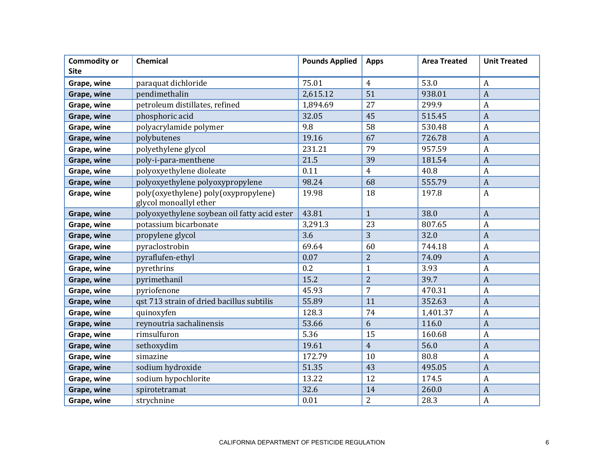| <b>Commodity or</b> | Chemical                                                       | <b>Pounds Applied</b> | <b>Apps</b>    | <b>Area Treated</b> | <b>Unit Treated</b> |
|---------------------|----------------------------------------------------------------|-----------------------|----------------|---------------------|---------------------|
| <b>Site</b>         |                                                                |                       |                |                     |                     |
| Grape, wine         | paraquat dichloride                                            | 75.01                 | $\overline{4}$ | 53.0                | $\boldsymbol{A}$    |
| Grape, wine         | pendimethalin                                                  | 2,615.12              | 51             | 938.01              | $\overline{A}$      |
| Grape, wine         | petroleum distillates, refined                                 | 1,894.69              | 27             | 299.9               | $\boldsymbol{A}$    |
| Grape, wine         | phosphoric acid                                                | 32.05                 | 45             | 515.45              | $\overline{A}$      |
| Grape, wine         | polyacrylamide polymer                                         | 9.8                   | 58             | 530.48              | $\boldsymbol{A}$    |
| Grape, wine         | polybutenes                                                    | 19.16                 | 67             | 726.78              | $\overline{A}$      |
| Grape, wine         | polyethylene glycol                                            | 231.21                | 79             | 957.59              | $\boldsymbol{A}$    |
| Grape, wine         | poly-i-para-menthene                                           | 21.5                  | 39             | 181.54              | $\overline{A}$      |
| Grape, wine         | polyoxyethylene dioleate                                       | 0.11                  | $\overline{4}$ | 40.8                | $\boldsymbol{A}$    |
| Grape, wine         | polyoxyethylene polyoxypropylene                               | 98.24                 | 68             | 555.79              | $\overline{A}$      |
| Grape, wine         | poly(oxyethylene) poly(oxypropylene)<br>glycol monoallyl ether | 19.98                 | 18             | 197.8               | $\boldsymbol{A}$    |
| Grape, wine         | polyoxyethylene soybean oil fatty acid ester                   | 43.81                 | $\mathbf{1}$   | 38.0                | $\overline{A}$      |
| Grape, wine         | potassium bicarbonate                                          | 3,291.3               | 23             | 807.65              | $\boldsymbol{A}$    |
| Grape, wine         | propylene glycol                                               | 3.6                   | 3              | 32.0                | $\overline{A}$      |
| Grape, wine         | pyraclostrobin                                                 | 69.64                 | 60             | 744.18              | $\boldsymbol{A}$    |
| Grape, wine         | pyraflufen-ethyl                                               | 0.07                  | $\overline{2}$ | 74.09               | $\overline{A}$      |
| Grape, wine         | pyrethrins                                                     | 0.2                   | $\mathbf{1}$   | 3.93                | $\boldsymbol{A}$    |
| Grape, wine         | pyrimethanil                                                   | 15.2                  | $\overline{2}$ | 39.7                | $\mathbf{A}$        |
| Grape, wine         | pyriofenone                                                    | 45.93                 | $\overline{7}$ | 470.31              | $\boldsymbol{A}$    |
| Grape, wine         | qst 713 strain of dried bacillus subtilis                      | 55.89                 | 11             | 352.63              | $\boldsymbol{A}$    |
| Grape, wine         | quinoxyfen                                                     | 128.3                 | 74             | 1,401.37            | $\boldsymbol{A}$    |
| Grape, wine         | reynoutria sachalinensis                                       | 53.66                 | 6              | 116.0               | $\overline{A}$      |
| Grape, wine         | rimsulfuron                                                    | 5.36                  | 15             | 160.68              | $\boldsymbol{A}$    |
| Grape, wine         | sethoxydim                                                     | 19.61                 | $\overline{4}$ | 56.0                | $\overline{A}$      |
| Grape, wine         | simazine                                                       | 172.79                | 10             | 80.8                | $\boldsymbol{A}$    |
| Grape, wine         | sodium hydroxide                                               | 51.35                 | 43             | 495.05              | $\overline{A}$      |
| Grape, wine         | sodium hypochlorite                                            | 13.22                 | 12             | 174.5               | $\overline{A}$      |
| Grape, wine         | spirotetramat                                                  | 32.6                  | 14             | 260.0               | $\overline{A}$      |
| Grape, wine         | strychnine                                                     | 0.01                  | 2              | 28.3                | $\boldsymbol{A}$    |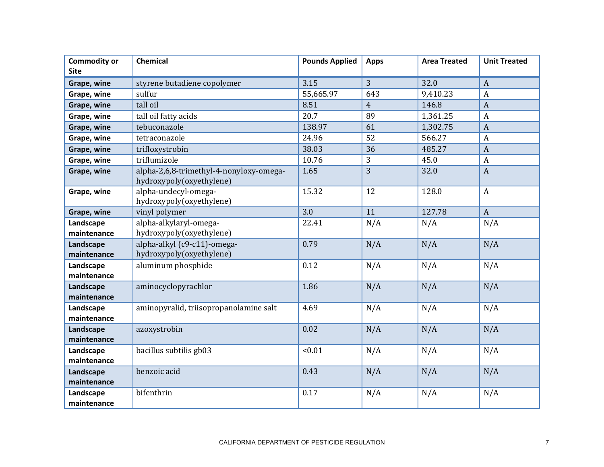| <b>Commodity or</b><br><b>Site</b> | Chemical                                                            | <b>Pounds Applied</b> | <b>Apps</b>    | <b>Area Treated</b> | <b>Unit Treated</b> |
|------------------------------------|---------------------------------------------------------------------|-----------------------|----------------|---------------------|---------------------|
| Grape, wine                        | styrene butadiene copolymer                                         | 3.15                  | $\overline{3}$ | 32.0                | $\overline{A}$      |
| Grape, wine                        | sulfur                                                              | 55,665.97             | 643            | 9,410.23            | $\boldsymbol{A}$    |
| Grape, wine                        | tall oil                                                            | 8.51                  | $\overline{4}$ | 146.8               | $\overline{A}$      |
| Grape, wine                        | tall oil fatty acids                                                | 20.7                  | 89             | 1,361.25            | $\mathbf{A}$        |
| Grape, wine                        | tebuconazole                                                        | 138.97                | 61             | 1,302.75            | $\boldsymbol{A}$    |
| Grape, wine                        | tetraconazole                                                       | 24.96                 | 52             | 566.27              | $\boldsymbol{A}$    |
| Grape, wine                        | trifloxystrobin                                                     | 38.03                 | 36             | 485.27              | $\boldsymbol{A}$    |
| Grape, wine                        | triflumizole                                                        | 10.76                 | 3              | 45.0                | $\boldsymbol{A}$    |
| Grape, wine                        | alpha-2,6,8-trimethyl-4-nonyloxy-omega-<br>hydroxypoly(oxyethylene) | 1.65                  | $\overline{3}$ | 32.0                | $\overline{A}$      |
| Grape, wine                        | alpha-undecyl-omega-<br>hydroxypoly(oxyethylene)                    | 15.32                 | 12             | 128.0               | $\mathbf{A}$        |
| Grape, wine                        | vinyl polymer                                                       | 3.0                   | 11             | 127.78              | $\overline{A}$      |
| Landscape<br>maintenance           | alpha-alkylaryl-omega-<br>hydroxypoly(oxyethylene)                  | 22.41                 | N/A            | N/A                 | N/A                 |
| Landscape<br>maintenance           | alpha-alkyl (c9-c11)-omega-<br>hydroxypoly(oxyethylene)             | 0.79                  | N/A            | N/A                 | N/A                 |
| Landscape<br>maintenance           | aluminum phosphide                                                  | 0.12                  | N/A            | N/A                 | N/A                 |
| Landscape<br>maintenance           | aminocyclopyrachlor                                                 | 1.86                  | N/A            | N/A                 | N/A                 |
| Landscape<br>maintenance           | aminopyralid, triisopropanolamine salt                              | 4.69                  | N/A            | N/A                 | N/A                 |
| Landscape<br>maintenance           | azoxystrobin                                                        | 0.02                  | N/A            | N/A                 | N/A                 |
| Landscape<br>maintenance           | bacillus subtilis gb03                                              | < 0.01                | N/A            | N/A                 | N/A                 |
| Landscape<br>maintenance           | benzoic acid                                                        | 0.43                  | N/A            | N/A                 | N/A                 |
| Landscape<br>maintenance           | bifenthrin                                                          | 0.17                  | N/A            | N/A                 | N/A                 |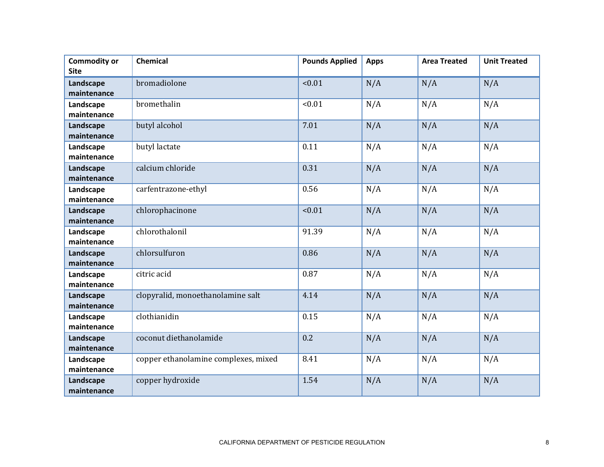| <b>Commodity or</b> | <b>Chemical</b>                      | <b>Pounds Applied</b> | <b>Apps</b> | <b>Area Treated</b> | <b>Unit Treated</b> |
|---------------------|--------------------------------------|-----------------------|-------------|---------------------|---------------------|
| <b>Site</b>         |                                      |                       |             |                     |                     |
| Landscape           | bromadiolone                         | < 0.01                | N/A         | N/A                 | N/A                 |
| maintenance         |                                      |                       |             |                     |                     |
| Landscape           | bromethalin                          | < 0.01                | N/A         | N/A                 | N/A                 |
| maintenance         |                                      |                       |             |                     |                     |
| Landscape           | butyl alcohol                        | 7.01                  | N/A         | N/A                 | N/A                 |
| maintenance         |                                      |                       |             |                     |                     |
| Landscape           | butyl lactate                        | 0.11                  | N/A         | N/A                 | N/A                 |
| maintenance         |                                      |                       |             |                     |                     |
| Landscape           | calcium chloride                     | 0.31                  | N/A         | N/A                 | N/A                 |
| maintenance         |                                      |                       |             |                     |                     |
| Landscape           | carfentrazone-ethyl                  | 0.56                  | N/A         | N/A                 | N/A                 |
| maintenance         |                                      |                       |             |                     |                     |
| Landscape           | chlorophacinone                      | < 0.01                | N/A         | N/A                 | N/A                 |
| maintenance         |                                      |                       |             |                     |                     |
| Landscape           | chlorothalonil                       | 91.39                 | N/A         | N/A                 | N/A                 |
| maintenance         |                                      |                       |             |                     |                     |
| Landscape           | chlorsulfuron                        | 0.86                  | N/A         | N/A                 | N/A                 |
| maintenance         |                                      |                       |             |                     |                     |
| Landscape           | citric acid                          | 0.87                  | N/A         | N/A                 | N/A                 |
| maintenance         |                                      |                       |             |                     |                     |
| Landscape           | clopyralid, monoethanolamine salt    | 4.14                  | N/A         | N/A                 | N/A                 |
| maintenance         |                                      |                       |             |                     |                     |
| Landscape           | clothianidin                         | 0.15                  | N/A         | N/A                 | N/A                 |
| maintenance         |                                      |                       |             |                     |                     |
| Landscape           | coconut diethanolamide               | 0.2                   | N/A         | N/A                 | N/A                 |
| maintenance         |                                      |                       |             |                     |                     |
| Landscape           | copper ethanolamine complexes, mixed | 8.41                  | N/A         | N/A                 | N/A                 |
| maintenance         |                                      |                       |             |                     |                     |
| Landscape           | copper hydroxide                     | 1.54                  | N/A         | N/A                 | N/A                 |
| maintenance         |                                      |                       |             |                     |                     |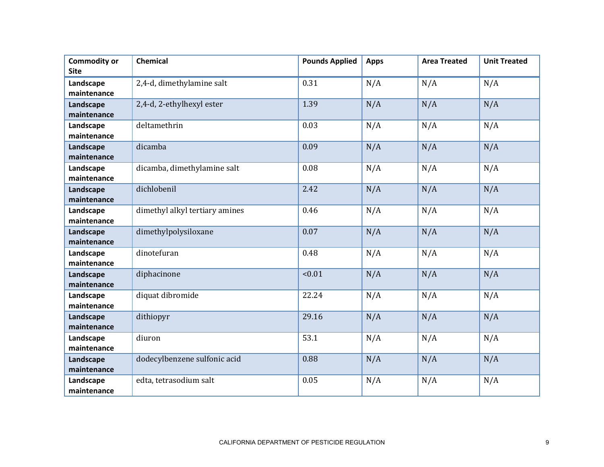| <b>Commodity or</b><br><b>Site</b> | <b>Chemical</b>                | <b>Pounds Applied</b> | <b>Apps</b> | <b>Area Treated</b> | <b>Unit Treated</b> |
|------------------------------------|--------------------------------|-----------------------|-------------|---------------------|---------------------|
| Landscape<br>maintenance           | 2,4-d, dimethylamine salt      | 0.31                  | N/A         | N/A                 | N/A                 |
| Landscape<br>maintenance           | 2,4-d, 2-ethylhexyl ester      | 1.39                  | N/A         | N/A                 | N/A                 |
| Landscape<br>maintenance           | deltamethrin                   | 0.03                  | N/A         | N/A                 | N/A                 |
| Landscape<br>maintenance           | dicamba                        | 0.09                  | N/A         | N/A                 | N/A                 |
| Landscape<br>maintenance           | dicamba, dimethylamine salt    | 0.08                  | N/A         | N/A                 | N/A                 |
| Landscape<br>maintenance           | dichlobenil                    | 2.42                  | N/A         | N/A                 | N/A                 |
| Landscape<br>maintenance           | dimethyl alkyl tertiary amines | 0.46                  | N/A         | N/A                 | N/A                 |
| Landscape<br>maintenance           | dimethylpolysiloxane           | 0.07                  | N/A         | N/A                 | N/A                 |
| Landscape<br>maintenance           | dinotefuran                    | 0.48                  | N/A         | N/A                 | N/A                 |
| Landscape<br>maintenance           | diphacinone                    | < 0.01                | N/A         | N/A                 | N/A                 |
| Landscape<br>maintenance           | diquat dibromide               | 22.24                 | N/A         | N/A                 | N/A                 |
| Landscape<br>maintenance           | dithiopyr                      | 29.16                 | N/A         | N/A                 | N/A                 |
| Landscape<br>maintenance           | diuron                         | 53.1                  | N/A         | N/A                 | N/A                 |
| Landscape<br>maintenance           | dodecylbenzene sulfonic acid   | 0.88                  | N/A         | N/A                 | N/A                 |
| Landscape<br>maintenance           | edta, tetrasodium salt         | 0.05                  | N/A         | N/A                 | N/A                 |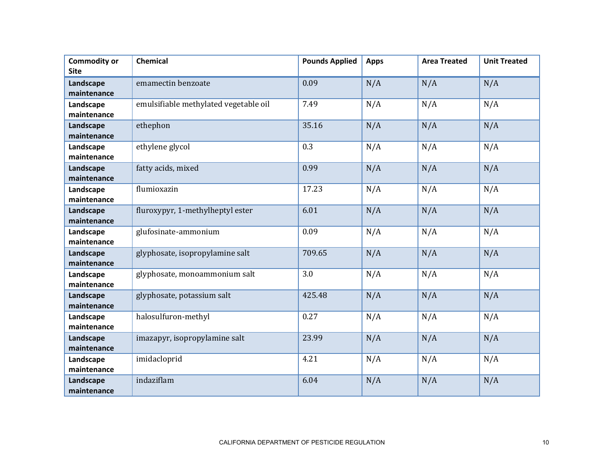| <b>Commodity or</b> | Chemical                              | <b>Pounds Applied</b> | <b>Apps</b> | <b>Area Treated</b> | <b>Unit Treated</b> |
|---------------------|---------------------------------------|-----------------------|-------------|---------------------|---------------------|
| <b>Site</b>         |                                       |                       |             |                     |                     |
| Landscape           | emamectin benzoate                    | 0.09                  | N/A         | N/A                 | N/A                 |
| maintenance         |                                       |                       |             |                     |                     |
| Landscape           | emulsifiable methylated vegetable oil | 7.49                  | N/A         | N/A                 | N/A                 |
| maintenance         |                                       |                       |             |                     |                     |
| Landscape           | ethephon                              | 35.16                 | N/A         | N/A                 | N/A                 |
| maintenance         |                                       |                       |             |                     |                     |
| Landscape           | ethylene glycol                       | 0.3                   | N/A         | N/A                 | N/A                 |
| maintenance         |                                       |                       |             |                     |                     |
| Landscape           | fatty acids, mixed                    | 0.99                  | N/A         | N/A                 | N/A                 |
| maintenance         |                                       |                       |             |                     |                     |
| Landscape           | flumioxazin                           | 17.23                 | N/A         | N/A                 | N/A                 |
| maintenance         |                                       |                       |             |                     |                     |
| Landscape           | fluroxypyr, 1-methylheptyl ester      | 6.01                  | N/A         | N/A                 | N/A                 |
| maintenance         |                                       |                       |             |                     |                     |
| Landscape           | glufosinate-ammonium                  | 0.09                  | N/A         | N/A                 | N/A                 |
| maintenance         |                                       |                       |             |                     |                     |
| Landscape           | glyphosate, isopropylamine salt       | 709.65                | N/A         | N/A                 | N/A                 |
| maintenance         |                                       |                       |             |                     |                     |
| Landscape           | glyphosate, monoammonium salt         | 3.0                   | N/A         | N/A                 | N/A                 |
| maintenance         |                                       |                       |             |                     |                     |
| Landscape           | glyphosate, potassium salt            | 425.48                | N/A         | N/A                 | N/A                 |
| maintenance         |                                       |                       |             |                     |                     |
| Landscape           | halosulfuron-methyl                   | 0.27                  | N/A         | N/A                 | N/A                 |
| maintenance         |                                       |                       |             |                     |                     |
| Landscape           | imazapyr, isopropylamine salt         | 23.99                 | N/A         | N/A                 | N/A                 |
| maintenance         |                                       |                       |             |                     |                     |
| Landscape           | imidacloprid                          | 4.21                  | N/A         | N/A                 | N/A                 |
| maintenance         |                                       |                       |             |                     |                     |
| Landscape           | indaziflam                            | 6.04                  | N/A         | N/A                 | N/A                 |
| maintenance         |                                       |                       |             |                     |                     |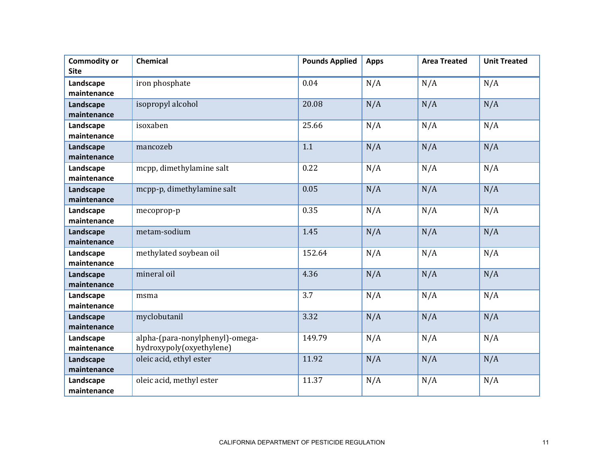| <b>Commodity or</b><br><b>Site</b> | <b>Chemical</b>                                             | <b>Pounds Applied</b> | <b>Apps</b> | <b>Area Treated</b> | <b>Unit Treated</b> |
|------------------------------------|-------------------------------------------------------------|-----------------------|-------------|---------------------|---------------------|
| Landscape<br>maintenance           | iron phosphate                                              | 0.04                  | N/A         | N/A                 | N/A                 |
| Landscape<br>maintenance           | isopropyl alcohol                                           | 20.08                 | N/A         | N/A                 | N/A                 |
| Landscape<br>maintenance           | isoxaben                                                    | 25.66                 | N/A         | N/A                 | N/A                 |
| Landscape<br>maintenance           | mancozeb                                                    | 1.1                   | N/A         | N/A                 | N/A                 |
| Landscape<br>maintenance           | mcpp, dimethylamine salt                                    | 0.22                  | N/A         | N/A                 | N/A                 |
| Landscape<br>maintenance           | mcpp-p, dimethylamine salt                                  | 0.05                  | N/A         | N/A                 | N/A                 |
| Landscape<br>maintenance           | mecoprop-p                                                  | 0.35                  | N/A         | N/A                 | N/A                 |
| Landscape<br>maintenance           | metam-sodium                                                | 1.45                  | N/A         | N/A                 | N/A                 |
| Landscape<br>maintenance           | methylated soybean oil                                      | 152.64                | N/A         | N/A                 | N/A                 |
| Landscape<br>maintenance           | mineral oil                                                 | 4.36                  | N/A         | N/A                 | N/A                 |
| Landscape<br>maintenance           | msma                                                        | 3.7                   | N/A         | N/A                 | N/A                 |
| Landscape<br>maintenance           | myclobutanil                                                | 3.32                  | N/A         | N/A                 | N/A                 |
| Landscape<br>maintenance           | alpha-(para-nonylphenyl)-omega-<br>hydroxypoly(oxyethylene) | 149.79                | N/A         | N/A                 | N/A                 |
| Landscape<br>maintenance           | oleic acid, ethyl ester                                     | 11.92                 | N/A         | N/A                 | N/A                 |
| Landscape<br>maintenance           | oleic acid, methyl ester                                    | 11.37                 | N/A         | N/A                 | N/A                 |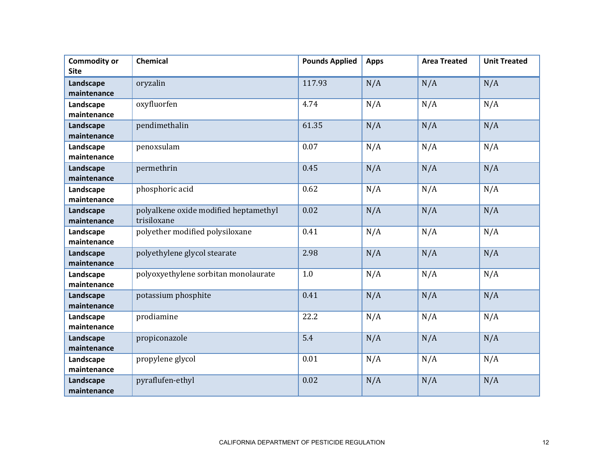| <b>Commodity or</b> | <b>Chemical</b>                       | <b>Pounds Applied</b> | <b>Apps</b> | <b>Area Treated</b> | <b>Unit Treated</b> |
|---------------------|---------------------------------------|-----------------------|-------------|---------------------|---------------------|
| <b>Site</b>         |                                       |                       |             |                     |                     |
| Landscape           | oryzalin                              | 117.93                | N/A         | N/A                 | N/A                 |
| maintenance         |                                       |                       |             |                     |                     |
| Landscape           | oxyfluorfen                           | 4.74                  | N/A         | N/A                 | N/A                 |
| maintenance         |                                       |                       |             |                     |                     |
| Landscape           | pendimethalin                         | 61.35                 | N/A         | N/A                 | N/A                 |
| maintenance         |                                       |                       |             |                     |                     |
| Landscape           | penoxsulam                            | 0.07                  | N/A         | N/A                 | N/A                 |
| maintenance         |                                       |                       |             |                     |                     |
| Landscape           | permethrin                            | 0.45                  | N/A         | N/A                 | N/A                 |
| maintenance         |                                       |                       |             |                     |                     |
| Landscape           | phosphoric acid                       | 0.62                  | N/A         | N/A                 | N/A                 |
| maintenance         |                                       |                       |             |                     |                     |
| Landscape           | polyalkene oxide modified heptamethyl | 0.02                  | N/A         | N/A                 | N/A                 |
| maintenance         | trisiloxane                           |                       |             |                     |                     |
| Landscape           | polyether modified polysiloxane       | 0.41                  | N/A         | N/A                 | N/A                 |
| maintenance         |                                       |                       |             |                     |                     |
| Landscape           | polyethylene glycol stearate          | 2.98                  | N/A         | N/A                 | N/A                 |
| maintenance         |                                       |                       |             |                     |                     |
| Landscape           | polyoxyethylene sorbitan monolaurate  | 1.0                   | N/A         | N/A                 | N/A                 |
| maintenance         |                                       |                       |             |                     |                     |
| Landscape           | potassium phosphite                   | 0.41                  | N/A         | N/A                 | N/A                 |
| maintenance         |                                       |                       |             |                     |                     |
| Landscape           | prodiamine                            | 22.2                  | N/A         | N/A                 | N/A                 |
| maintenance         |                                       |                       |             |                     |                     |
| Landscape           | propiconazole                         | 5.4                   | N/A         | N/A                 | N/A                 |
| maintenance         |                                       |                       |             |                     |                     |
| Landscape           | propylene glycol                      | 0.01                  | N/A         | N/A                 | N/A                 |
| maintenance         |                                       |                       |             |                     |                     |
| Landscape           | pyraflufen-ethyl                      | 0.02                  | N/A         | N/A                 | N/A                 |
| maintenance         |                                       |                       |             |                     |                     |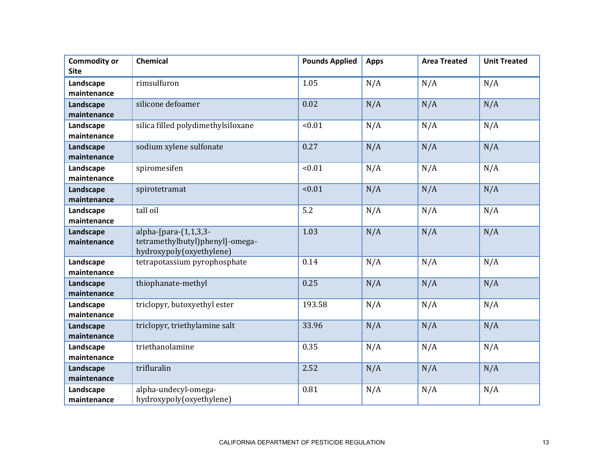| <b>Commodity or</b><br><b>Site</b> | <b>Chemical</b>                                                                         | <b>Pounds Applied</b> | <b>Apps</b> | <b>Area Treated</b> | <b>Unit Treated</b> |
|------------------------------------|-----------------------------------------------------------------------------------------|-----------------------|-------------|---------------------|---------------------|
| Landscape<br>maintenance           | rimsulfuron                                                                             | 1.05                  | N/A         | N/A                 | N/A                 |
| Landscape<br>maintenance           | silicone defoamer                                                                       | 0.02                  | N/A         | N/A                 | N/A                 |
| Landscape<br>maintenance           | silica filled polydimethylsiloxane                                                      | < 0.01                | N/A         | N/A                 | N/A                 |
| Landscape<br>maintenance           | sodium xylene sulfonate                                                                 | 0.27                  | N/A         | N/A                 | N/A                 |
| Landscape<br>maintenance           | spiromesifen                                                                            | < 0.01                | N/A         | N/A                 | N/A                 |
| Landscape<br>maintenance           | spirotetramat                                                                           | < 0.01                | N/A         | N/A                 | N/A                 |
| Landscape<br>maintenance           | tall oil                                                                                | 5.2                   | N/A         | N/A                 | N/A                 |
| Landscape<br>maintenance           | alpha- $[para-(1,1,3,3-$<br>tetramethylbutyl)phenyl]-omega-<br>hydroxypoly(oxyethylene) | 1.03                  | N/A         | N/A                 | N/A                 |
| Landscape<br>maintenance           | tetrapotassium pyrophosphate                                                            | 0.14                  | N/A         | N/A                 | N/A                 |
| Landscape<br>maintenance           | thiophanate-methyl                                                                      | 0.25                  | N/A         | N/A                 | N/A                 |
| Landscape<br>maintenance           | triclopyr, butoxyethyl ester                                                            | 193.58                | N/A         | N/A                 | N/A                 |
| Landscape<br>maintenance           | triclopyr, triethylamine salt                                                           | 33.96                 | N/A         | N/A                 | N/A                 |
| Landscape<br>maintenance           | triethanolamine                                                                         | 0.35                  | N/A         | N/A                 | N/A                 |
| Landscape<br>maintenance           | trifluralin                                                                             | 2.52                  | N/A         | N/A                 | N/A                 |
| Landscape<br>maintenance           | alpha-undecyl-omega-<br>hydroxypoly(oxyethylene)                                        | 0.81                  | N/A         | N/A                 | N/A                 |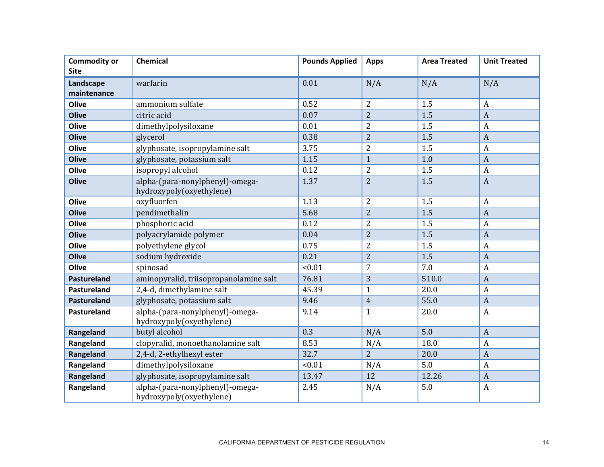| <b>Commodity or</b><br><b>Site</b> | Chemical                                                    | <b>Pounds Applied</b> | <b>Apps</b>    | <b>Area Treated</b> | <b>Unit Treated</b> |
|------------------------------------|-------------------------------------------------------------|-----------------------|----------------|---------------------|---------------------|
|                                    | warfarin                                                    | 0.01                  |                |                     |                     |
| Landscape<br>maintenance           |                                                             |                       | N/A            | N/A                 | N/A                 |
| Olive                              | ammonium sulfate                                            | 0.52                  | $\overline{2}$ | 1.5                 | $\boldsymbol{A}$    |
| <b>Olive</b>                       | citric acid                                                 | 0.07                  | $\overline{2}$ | 1.5                 | $\overline{A}$      |
| Olive                              | dimethylpolysiloxane                                        | 0.01                  | $\overline{2}$ | 1.5                 | $\boldsymbol{A}$    |
| <b>Olive</b>                       | glycerol                                                    | 0.38                  | $\overline{2}$ | 1.5                 | $\overline{A}$      |
| Olive                              | glyphosate, isopropylamine salt                             | 3.75                  | $\overline{2}$ | 1.5                 | $\overline{A}$      |
| <b>Olive</b>                       | glyphosate, potassium salt                                  | 1.15                  | $\mathbf{1}$   | 1.0                 | $\overline{A}$      |
| Olive                              | isopropyl alcohol                                           | 0.12                  | $\overline{2}$ | 1.5                 | $\overline{A}$      |
|                                    |                                                             |                       | $\overline{2}$ |                     |                     |
| <b>Olive</b>                       | alpha-(para-nonylphenyl)-omega-<br>hydroxypoly(oxyethylene) | 1.37                  |                | 1.5                 | $\boldsymbol{A}$    |
| Olive                              | oxyfluorfen                                                 | 1.13                  | $\overline{2}$ | 1.5                 | $\boldsymbol{A}$    |
| <b>Olive</b>                       | pendimethalin                                               | 5.68                  | $\overline{2}$ | 1.5                 | $\overline{A}$      |
| Olive                              | phosphoric acid                                             | 0.12                  | $\overline{2}$ | 1.5                 | $\overline{A}$      |
| <b>Olive</b>                       | polyacrylamide polymer                                      | 0.04                  | $\overline{2}$ | 1.5                 | $\overline{A}$      |
| Olive                              | polyethylene glycol                                         | 0.75                  | $\overline{2}$ | 1.5                 | $\overline{A}$      |
| <b>Olive</b>                       | sodium hydroxide                                            | 0.21                  | $\overline{2}$ | 1.5                 | $\overline{A}$      |
| Olive                              | spinosad                                                    | < 0.01                | $\overline{7}$ | 7.0                 | $\boldsymbol{A}$    |
| <b>Pastureland</b>                 | aminopyralid, triisopropanolamine salt                      | 76.81                 | 3              | 510.0               | $\overline{A}$      |
| Pastureland                        | 2,4-d, dimethylamine salt                                   | 45.39                 | $\mathbf{1}$   | 20.0                | $\overline{A}$      |
| <b>Pastureland</b>                 | glyphosate, potassium salt                                  | 9.46                  | $\overline{4}$ | 55.0                | $\overline{A}$      |
| Pastureland                        | alpha-(para-nonylphenyl)-omega-<br>hydroxypoly(oxyethylene) | 9.14                  | $\mathbf{1}$   | 20.0                | $\boldsymbol{A}$    |
| Rangeland                          | butyl alcohol                                               | 0.3                   | N/A            | 5.0                 | $\overline{A}$      |
| Rangeland                          | clopyralid, monoethanolamine salt                           | 8.53                  | N/A            | 18.0                | $\overline{A}$      |
| Rangeland                          | 2,4-d, 2-ethylhexyl ester                                   | 32.7                  | $\overline{2}$ | 20.0                | $\overline{A}$      |
| Rangeland                          | dimethylpolysiloxane                                        | < 0.01                | N/A            | 5.0                 | $\overline{A}$      |
| Rangeland                          | glyphosate, isopropylamine salt                             | 13.47                 | 12             | 12.26               | $\overline{A}$      |
| Rangeland                          | alpha-(para-nonylphenyl)-omega-<br>hydroxypoly(oxyethylene) | 2.45                  | N/A            | 5.0                 | $\boldsymbol{A}$    |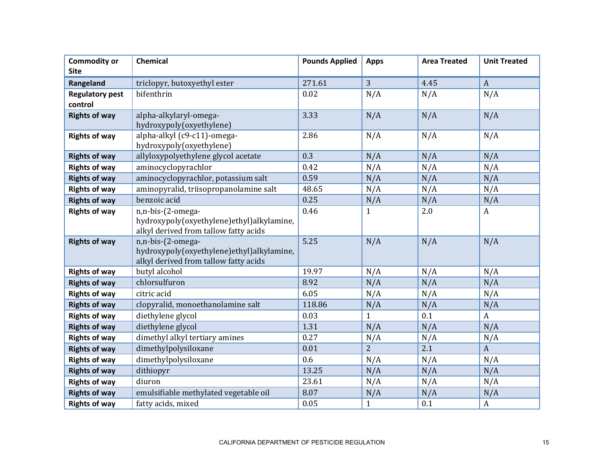| <b>Commodity or</b>    | Chemical                                                       | <b>Pounds Applied</b> | <b>Apps</b>    | <b>Area Treated</b> | <b>Unit Treated</b> |
|------------------------|----------------------------------------------------------------|-----------------------|----------------|---------------------|---------------------|
| <b>Site</b>            |                                                                |                       |                |                     |                     |
| Rangeland              | triclopyr, butoxyethyl ester                                   | 271.61                | 3              | 4.45                | $\boldsymbol{A}$    |
| <b>Regulatory pest</b> | bifenthrin                                                     | 0.02                  | N/A            | N/A                 | N/A                 |
| control                |                                                                |                       |                |                     |                     |
| <b>Rights of way</b>   | alpha-alkylaryl-omega-                                         | 3.33                  | N/A            | N/A                 | N/A                 |
|                        | hydroxypoly(oxyethylene)                                       |                       |                |                     |                     |
| <b>Rights of way</b>   | alpha-alkyl (c9-c11)-omega-                                    | 2.86                  | N/A            | N/A                 | N/A                 |
|                        | hydroxypoly(oxyethylene)                                       |                       |                |                     |                     |
| <b>Rights of way</b>   | allyloxypolyethylene glycol acetate                            | 0.3                   | N/A            | N/A                 | N/A                 |
| <b>Rights of way</b>   | aminocyclopyrachlor                                            | 0.42                  | N/A            | N/A                 | N/A                 |
| <b>Rights of way</b>   | aminocyclopyrachlor, potassium salt                            | 0.59                  | N/A            | N/A                 | N/A                 |
| <b>Rights of way</b>   | aminopyralid, triisopropanolamine salt                         | 48.65                 | N/A            | N/A                 | N/A                 |
| <b>Rights of way</b>   | benzoic acid                                                   | 0.25                  | N/A            | N/A                 | N/A                 |
| <b>Rights of way</b>   | n,n-bis-(2-omega-                                              | 0.46                  | $\mathbf{1}$   | 2.0                 | $\boldsymbol{A}$    |
|                        | hydroxypoly(oxyethylene)ethyl)alkylamine,                      |                       |                |                     |                     |
|                        | alkyl derived from tallow fatty acids                          |                       |                |                     |                     |
| <b>Rights of way</b>   | n,n-bis-(2-omega-<br>hydroxypoly(oxyethylene)ethyl)alkylamine, | 5.25                  | N/A            | N/A                 | N/A                 |
|                        | alkyl derived from tallow fatty acids                          |                       |                |                     |                     |
| <b>Rights of way</b>   | butyl alcohol                                                  | 19.97                 | N/A            | N/A                 | N/A                 |
| <b>Rights of way</b>   | chlorsulfuron                                                  | 8.92                  | N/A            | N/A                 | N/A                 |
| <b>Rights of way</b>   | citric acid                                                    | 6.05                  | N/A            | N/A                 | N/A                 |
| <b>Rights of way</b>   | clopyralid, monoethanolamine salt                              | 118.86                | N/A            | N/A                 | N/A                 |
| <b>Rights of way</b>   | diethylene glycol                                              | 0.03                  | $\mathbf{1}$   | 0.1                 | $\boldsymbol{A}$    |
| <b>Rights of way</b>   | diethylene glycol                                              | 1.31                  | N/A            | N/A                 | N/A                 |
| <b>Rights of way</b>   | dimethyl alkyl tertiary amines                                 | 0.27                  | N/A            | N/A                 | N/A                 |
| <b>Rights of way</b>   | dimethylpolysiloxane                                           | 0.01                  | $\overline{2}$ | 2.1                 | $\boldsymbol{A}$    |
| <b>Rights of way</b>   | dimethylpolysiloxane                                           | 0.6                   | N/A            | N/A                 | N/A                 |
| <b>Rights of way</b>   | dithiopyr                                                      | 13.25                 | N/A            | N/A                 | N/A                 |
| <b>Rights of way</b>   | diuron                                                         | 23.61                 | N/A            | N/A                 | N/A                 |
| <b>Rights of way</b>   | emulsifiable methylated vegetable oil                          | 8.07                  | N/A            | N/A                 | N/A                 |
| <b>Rights of way</b>   | fatty acids, mixed                                             | 0.05                  | $\mathbf{1}$   | 0.1                 | $\boldsymbol{A}$    |
|                        |                                                                |                       |                |                     |                     |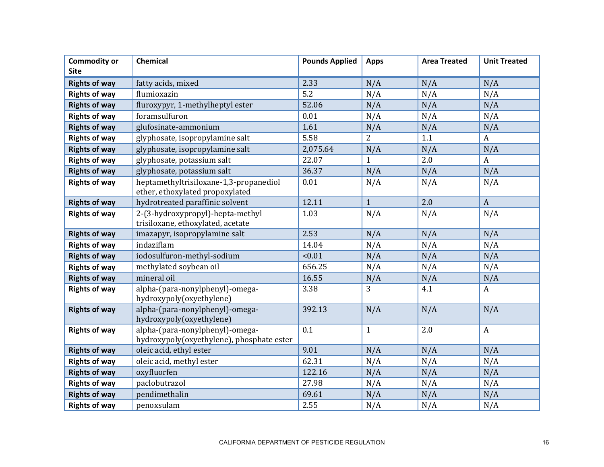| <b>Commodity or</b><br><b>Site</b> | Chemical                                                                     | <b>Pounds Applied</b> | <b>Apps</b>  | <b>Area Treated</b> | <b>Unit Treated</b> |
|------------------------------------|------------------------------------------------------------------------------|-----------------------|--------------|---------------------|---------------------|
| <b>Rights of way</b>               | fatty acids, mixed                                                           | 2.33                  | N/A          | N/A                 | N/A                 |
| <b>Rights of way</b>               | flumioxazin                                                                  | 5.2                   | N/A          | N/A                 | N/A                 |
| <b>Rights of way</b>               | fluroxypyr, 1-methylheptyl ester                                             | 52.06                 | N/A          | N/A                 | N/A                 |
| <b>Rights of way</b>               | foramsulfuron                                                                | 0.01                  | N/A          | N/A                 | N/A                 |
| <b>Rights of way</b>               | glufosinate-ammonium                                                         | 1.61                  | N/A          | N/A                 | N/A                 |
| <b>Rights of way</b>               | glyphosate, isopropylamine salt                                              | 5.58                  | 2            | 1.1                 | $\boldsymbol{A}$    |
| <b>Rights of way</b>               | glyphosate, isopropylamine salt                                              | 2,075.64              | N/A          | N/A                 | N/A                 |
| <b>Rights of way</b>               | glyphosate, potassium salt                                                   | 22.07                 | $\mathbf{1}$ | 2.0                 | $\boldsymbol{A}$    |
| <b>Rights of way</b>               | glyphosate, potassium salt                                                   | 36.37                 | N/A          | N/A                 | N/A                 |
| <b>Rights of way</b>               | heptamethyltrisiloxane-1,3-propanediol<br>ether, ethoxylated propoxylated    | 0.01                  | N/A          | N/A                 | N/A                 |
| <b>Rights of way</b>               | hydrotreated paraffinic solvent                                              | 12.11                 | $\mathbf{1}$ | 2.0                 | $\overline{A}$      |
| <b>Rights of way</b>               | 2-(3-hydroxypropyl)-hepta-methyl<br>trisiloxane, ethoxylated, acetate        | 1.03                  | N/A          | N/A                 | N/A                 |
| <b>Rights of way</b>               | imazapyr, isopropylamine salt                                                | 2.53                  | N/A          | N/A                 | N/A                 |
| <b>Rights of way</b>               | indaziflam                                                                   | 14.04                 | N/A          | N/A                 | N/A                 |
| <b>Rights of way</b>               | iodosulfuron-methyl-sodium                                                   | < 0.01                | N/A          | N/A                 | N/A                 |
| <b>Rights of way</b>               | methylated soybean oil                                                       | 656.25                | N/A          | N/A                 | N/A                 |
| <b>Rights of way</b>               | mineral oil                                                                  | 16.55                 | N/A          | N/A                 | N/A                 |
| <b>Rights of way</b>               | alpha-(para-nonylphenyl)-omega-<br>hydroxypoly(oxyethylene)                  | 3.38                  | 3            | 4.1                 | $\boldsymbol{A}$    |
| <b>Rights of way</b>               | alpha-(para-nonylphenyl)-omega-<br>hydroxypoly(oxyethylene)                  | 392.13                | N/A          | N/A                 | N/A                 |
| <b>Rights of way</b>               | alpha-(para-nonylphenyl)-omega-<br>hydroxypoly(oxyethylene), phosphate ester | 0.1                   | $\mathbf{1}$ | 2.0                 | $\boldsymbol{A}$    |
| <b>Rights of way</b>               | oleic acid, ethyl ester                                                      | 9.01                  | N/A          | N/A                 | N/A                 |
| <b>Rights of way</b>               | oleic acid, methyl ester                                                     | 62.31                 | N/A          | N/A                 | N/A                 |
| <b>Rights of way</b>               | oxyfluorfen                                                                  | 122.16                | N/A          | N/A                 | N/A                 |
| <b>Rights of way</b>               | paclobutrazol                                                                | 27.98                 | N/A          | N/A                 | N/A                 |
| <b>Rights of way</b>               | pendimethalin                                                                | 69.61                 | N/A          | N/A                 | N/A                 |
| <b>Rights of way</b>               | penoxsulam                                                                   | 2.55                  | N/A          | N/A                 | N/A                 |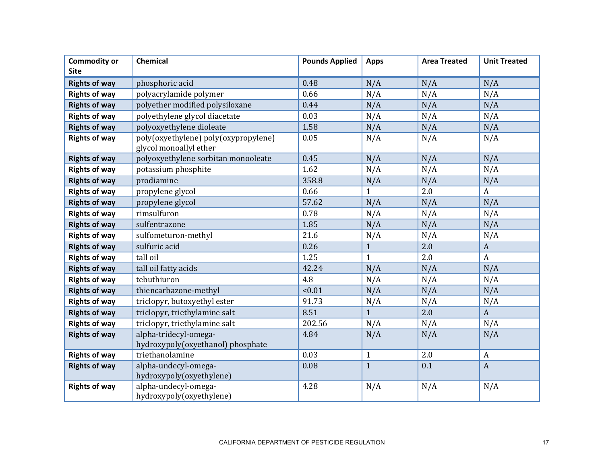| <b>Commodity or</b>  | Chemical                                                       | <b>Pounds Applied</b> | <b>Apps</b>  | <b>Area Treated</b> | <b>Unit Treated</b> |
|----------------------|----------------------------------------------------------------|-----------------------|--------------|---------------------|---------------------|
| <b>Site</b>          |                                                                |                       |              |                     |                     |
| <b>Rights of way</b> | phosphoric acid                                                | 0.48                  | N/A          | N/A                 | N/A                 |
| <b>Rights of way</b> | polyacrylamide polymer                                         | 0.66                  | N/A          | N/A                 | N/A                 |
| <b>Rights of way</b> | polyether modified polysiloxane                                | 0.44                  | N/A          | N/A                 | N/A                 |
| <b>Rights of way</b> | polyethylene glycol diacetate                                  | 0.03                  | N/A          | N/A                 | N/A                 |
| <b>Rights of way</b> | polyoxyethylene dioleate                                       | 1.58                  | N/A          | N/A                 | N/A                 |
| <b>Rights of way</b> | poly(oxyethylene) poly(oxypropylene)<br>glycol monoallyl ether | 0.05                  | N/A          | N/A                 | N/A                 |
| <b>Rights of way</b> | polyoxyethylene sorbitan monooleate                            | 0.45                  | N/A          | N/A                 | N/A                 |
| <b>Rights of way</b> | potassium phosphite                                            | 1.62                  | N/A          | N/A                 | N/A                 |
| <b>Rights of way</b> | prodiamine                                                     | 358.8                 | N/A          | N/A                 | N/A                 |
| <b>Rights of way</b> | propylene glycol                                               | 0.66                  | $\mathbf{1}$ | 2.0                 | $\boldsymbol{A}$    |
| <b>Rights of way</b> | propylene glycol                                               | 57.62                 | N/A          | N/A                 | N/A                 |
| <b>Rights of way</b> | rimsulfuron                                                    | 0.78                  | N/A          | N/A                 | N/A                 |
| <b>Rights of way</b> | sulfentrazone                                                  | 1.85                  | N/A          | N/A                 | N/A                 |
| <b>Rights of way</b> | sulfometuron-methyl                                            | 21.6                  | N/A          | N/A                 | N/A                 |
| <b>Rights of way</b> | sulfuric acid                                                  | 0.26                  | $\mathbf{1}$ | 2.0                 | $\boldsymbol{A}$    |
| <b>Rights of way</b> | tall oil                                                       | 1.25                  | $\mathbf{1}$ | 2.0                 | $\mathbf{A}$        |
| <b>Rights of way</b> | tall oil fatty acids                                           | 42.24                 | N/A          | N/A                 | N/A                 |
| <b>Rights of way</b> | tebuthiuron                                                    | 4.8                   | N/A          | N/A                 | N/A                 |
| <b>Rights of way</b> | thiencarbazone-methyl                                          | < 0.01                | N/A          | N/A                 | N/A                 |
| <b>Rights of way</b> | triclopyr, butoxyethyl ester                                   | 91.73                 | N/A          | N/A                 | N/A                 |
| <b>Rights of way</b> | triclopyr, triethylamine salt                                  | 8.51                  | $\mathbf{1}$ | 2.0                 | $\boldsymbol{A}$    |
| <b>Rights of way</b> | triclopyr, triethylamine salt                                  | 202.56                | N/A          | N/A                 | N/A                 |
| <b>Rights of way</b> | alpha-tridecyl-omega-<br>hydroxypoly(oxyethanol) phosphate     | 4.84                  | N/A          | N/A                 | N/A                 |
| <b>Rights of way</b> | triethanolamine                                                | 0.03                  | $\mathbf{1}$ | 2.0                 | $\boldsymbol{A}$    |
| <b>Rights of way</b> | alpha-undecyl-omega-<br>hydroxypoly(oxyethylene)               | 0.08                  | $\mathbf{1}$ | 0.1                 | $\boldsymbol{A}$    |
| <b>Rights of way</b> | alpha-undecyl-omega-<br>hydroxypoly(oxyethylene)               | 4.28                  | N/A          | N/A                 | N/A                 |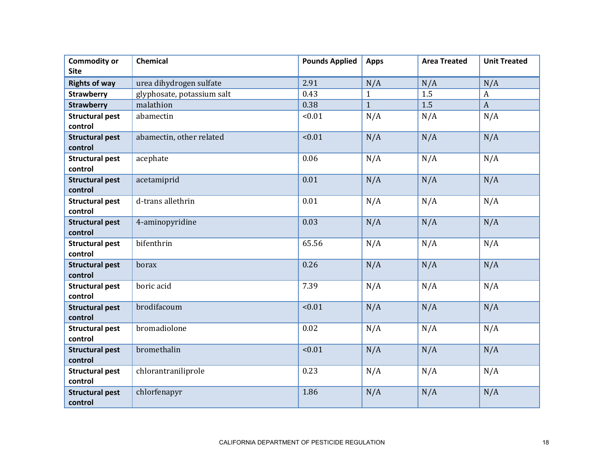| <b>Commodity or</b><br><b>Site</b> | Chemical                   | <b>Pounds Applied</b> | <b>Apps</b>  | <b>Area Treated</b> | <b>Unit Treated</b> |
|------------------------------------|----------------------------|-----------------------|--------------|---------------------|---------------------|
| <b>Rights of way</b>               | urea dihydrogen sulfate    | 2.91                  | N/A          | N/A                 | N/A                 |
|                                    | glyphosate, potassium salt | 0.43                  | $\mathbf{1}$ | 1.5                 | $\boldsymbol{A}$    |
| <b>Strawberry</b>                  | malathion                  | 0.38                  | $\mathbf{1}$ | 1.5                 | $\overline{A}$      |
| <b>Strawberry</b>                  |                            |                       |              |                     |                     |
| <b>Structural pest</b><br>control  | abamectin                  | < 0.01                | N/A          | N/A                 | N/A                 |
| <b>Structural pest</b><br>control  | abamectin, other related   | < 0.01                | N/A          | N/A                 | N/A                 |
| <b>Structural pest</b><br>control  | acephate                   | 0.06                  | N/A          | N/A                 | N/A                 |
| <b>Structural pest</b><br>control  | acetamiprid                | 0.01                  | N/A          | N/A                 | N/A                 |
| <b>Structural pest</b><br>control  | d-trans allethrin          | 0.01                  | N/A          | N/A                 | N/A                 |
| <b>Structural pest</b><br>control  | 4-aminopyridine            | 0.03                  | N/A          | N/A                 | N/A                 |
| <b>Structural pest</b><br>control  | bifenthrin                 | 65.56                 | N/A          | N/A                 | N/A                 |
| <b>Structural pest</b><br>control  | borax                      | 0.26                  | N/A          | N/A                 | N/A                 |
| <b>Structural pest</b><br>control  | boric acid                 | 7.39                  | N/A          | N/A                 | N/A                 |
| <b>Structural pest</b><br>control  | brodifacoum                | < 0.01                | N/A          | N/A                 | N/A                 |
| <b>Structural pest</b><br>control  | bromadiolone               | 0.02                  | N/A          | N/A                 | N/A                 |
| <b>Structural pest</b><br>control  | bromethalin                | < 0.01                | N/A          | N/A                 | N/A                 |
| <b>Structural pest</b><br>control  | chlorantraniliprole        | 0.23                  | N/A          | N/A                 | N/A                 |
| <b>Structural pest</b><br>control  | chlorfenapyr               | 1.86                  | N/A          | N/A                 | N/A                 |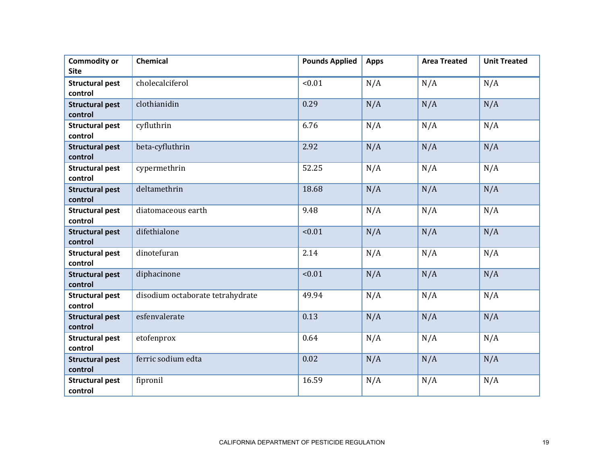| <b>Commodity or</b><br><b>Site</b> | <b>Chemical</b>                  | <b>Pounds Applied</b> | <b>Apps</b> | <b>Area Treated</b> | <b>Unit Treated</b> |
|------------------------------------|----------------------------------|-----------------------|-------------|---------------------|---------------------|
| <b>Structural pest</b><br>control  | cholecalciferol                  | < 0.01                | N/A         | N/A                 | N/A                 |
| <b>Structural pest</b><br>control  | clothianidin                     | 0.29                  | N/A         | N/A                 | N/A                 |
| <b>Structural pest</b><br>control  | cyfluthrin                       | 6.76                  | N/A         | N/A                 | N/A                 |
| <b>Structural pest</b><br>control  | beta-cyfluthrin                  | 2.92                  | N/A         | N/A                 | N/A                 |
| <b>Structural pest</b><br>control  | cypermethrin                     | 52.25                 | N/A         | N/A                 | N/A                 |
| <b>Structural pest</b><br>control  | deltamethrin                     | 18.68                 | N/A         | N/A                 | N/A                 |
| <b>Structural pest</b><br>control  | diatomaceous earth               | 9.48                  | N/A         | N/A                 | N/A                 |
| <b>Structural pest</b><br>control  | difethialone                     | < 0.01                | N/A         | N/A                 | N/A                 |
| <b>Structural pest</b><br>control  | dinotefuran                      | 2.14                  | N/A         | N/A                 | N/A                 |
| <b>Structural pest</b><br>control  | diphacinone                      | < 0.01                | N/A         | N/A                 | N/A                 |
| <b>Structural pest</b><br>control  | disodium octaborate tetrahydrate | 49.94                 | N/A         | N/A                 | N/A                 |
| <b>Structural pest</b><br>control  | esfenvalerate                    | 0.13                  | N/A         | N/A                 | N/A                 |
| <b>Structural pest</b><br>control  | etofenprox                       | 0.64                  | N/A         | N/A                 | N/A                 |
| <b>Structural pest</b><br>control  | ferric sodium edta               | 0.02                  | N/A         | N/A                 | N/A                 |
| <b>Structural pest</b><br>control  | fipronil                         | 16.59                 | N/A         | N/A                 | N/A                 |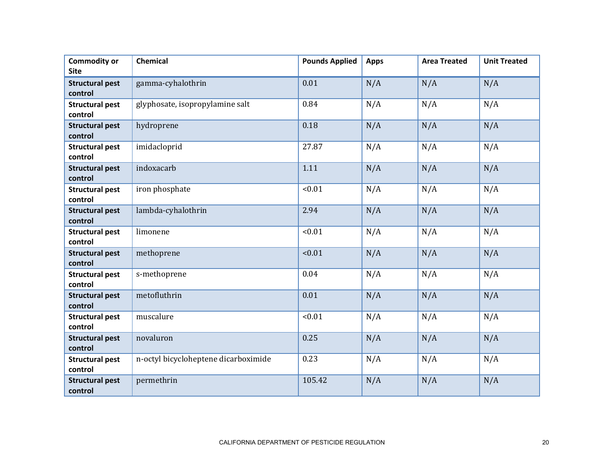| <b>Commodity or</b><br><b>Site</b> | <b>Chemical</b>                      | <b>Pounds Applied</b> | <b>Apps</b> | <b>Area Treated</b> | <b>Unit Treated</b> |
|------------------------------------|--------------------------------------|-----------------------|-------------|---------------------|---------------------|
| <b>Structural pest</b><br>control  | gamma-cyhalothrin                    | 0.01                  | N/A         | N/A                 | N/A                 |
| <b>Structural pest</b><br>control  | glyphosate, isopropylamine salt      | 0.84                  | N/A         | N/A                 | N/A                 |
| <b>Structural pest</b><br>control  | hydroprene                           | 0.18                  | N/A         | N/A                 | N/A                 |
| <b>Structural pest</b><br>control  | imidacloprid                         | 27.87                 | N/A         | N/A                 | N/A                 |
| <b>Structural pest</b><br>control  | indoxacarb                           | 1.11                  | N/A         | N/A                 | N/A                 |
| <b>Structural pest</b><br>control  | iron phosphate                       | < 0.01                | N/A         | N/A                 | N/A                 |
| <b>Structural pest</b><br>control  | lambda-cyhalothrin                   | 2.94                  | N/A         | N/A                 | N/A                 |
| <b>Structural pest</b><br>control  | limonene                             | < 0.01                | N/A         | N/A                 | N/A                 |
| <b>Structural pest</b><br>control  | methoprene                           | < 0.01                | N/A         | N/A                 | N/A                 |
| <b>Structural pest</b><br>control  | s-methoprene                         | 0.04                  | N/A         | N/A                 | N/A                 |
| <b>Structural pest</b><br>control  | metofluthrin                         | 0.01                  | N/A         | N/A                 | N/A                 |
| <b>Structural pest</b><br>control  | muscalure                            | < 0.01                | N/A         | N/A                 | N/A                 |
| <b>Structural pest</b><br>control  | novaluron                            | 0.25                  | N/A         | N/A                 | N/A                 |
| <b>Structural pest</b><br>control  | n-octyl bicycloheptene dicarboximide | 0.23                  | N/A         | N/A                 | N/A                 |
| <b>Structural pest</b><br>control  | permethrin                           | 105.42                | N/A         | N/A                 | N/A                 |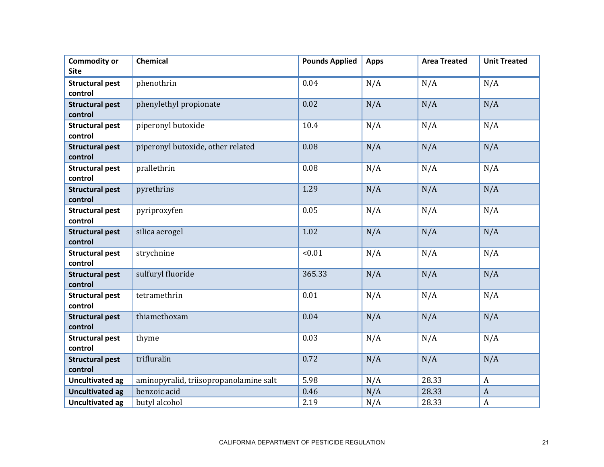| <b>Commodity or</b><br><b>Site</b> | Chemical                               | <b>Pounds Applied</b> | <b>Apps</b> | <b>Area Treated</b> | <b>Unit Treated</b> |
|------------------------------------|----------------------------------------|-----------------------|-------------|---------------------|---------------------|
| <b>Structural pest</b><br>control  | phenothrin                             | 0.04                  | N/A         | N/A                 | N/A                 |
| <b>Structural pest</b><br>control  | phenylethyl propionate                 | 0.02                  | N/A         | N/A                 | N/A                 |
| <b>Structural pest</b><br>control  | piperonyl butoxide                     | 10.4                  | N/A         | N/A                 | N/A                 |
| <b>Structural pest</b><br>control  | piperonyl butoxide, other related      | 0.08                  | N/A         | N/A                 | N/A                 |
| <b>Structural pest</b><br>control  | prallethrin                            | 0.08                  | N/A         | N/A                 | N/A                 |
| <b>Structural pest</b><br>control  | pyrethrins                             | 1.29                  | N/A         | N/A                 | N/A                 |
| <b>Structural pest</b><br>control  | pyriproxyfen                           | 0.05                  | N/A         | N/A                 | N/A                 |
| <b>Structural pest</b><br>control  | silica aerogel                         | 1.02                  | N/A         | N/A                 | N/A                 |
| <b>Structural pest</b><br>control  | strychnine                             | < 0.01                | N/A         | N/A                 | N/A                 |
| <b>Structural pest</b><br>control  | sulfuryl fluoride                      | 365.33                | N/A         | N/A                 | N/A                 |
| <b>Structural pest</b><br>control  | tetramethrin                           | 0.01                  | N/A         | N/A                 | N/A                 |
| <b>Structural pest</b><br>control  | thiamethoxam                           | 0.04                  | N/A         | N/A                 | N/A                 |
| <b>Structural pest</b><br>control  | thyme                                  | 0.03                  | N/A         | N/A                 | N/A                 |
| <b>Structural pest</b><br>control  | trifluralin                            | 0.72                  | N/A         | N/A                 | N/A                 |
| <b>Uncultivated ag</b>             | aminopyralid, triisopropanolamine salt | 5.98                  | N/A         | 28.33               | $\boldsymbol{A}$    |
| <b>Uncultivated ag</b>             | benzoic acid                           | 0.46                  | N/A         | 28.33               | $\boldsymbol{A}$    |
| <b>Uncultivated ag</b>             | butyl alcohol                          | 2.19                  | N/A         | 28.33               | $\boldsymbol{A}$    |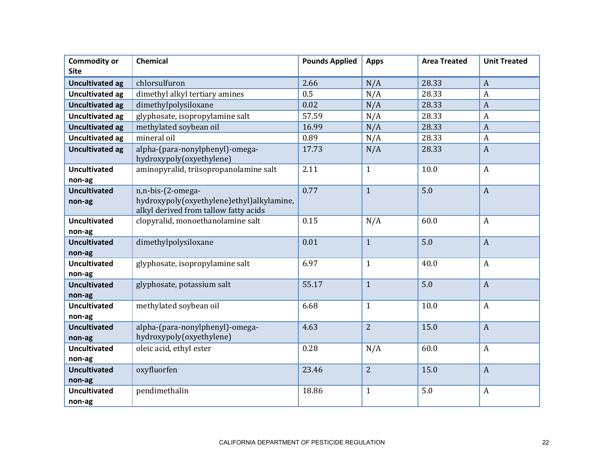| <b>Commodity or</b>           | Chemical                                                                                                | <b>Pounds Applied</b> | <b>Apps</b>    | <b>Area Treated</b> | <b>Unit Treated</b> |
|-------------------------------|---------------------------------------------------------------------------------------------------------|-----------------------|----------------|---------------------|---------------------|
| <b>Site</b>                   |                                                                                                         |                       |                |                     |                     |
| <b>Uncultivated ag</b>        | chlorsulfuron                                                                                           | 2.66                  | N/A            | 28.33               | $\boldsymbol{A}$    |
| <b>Uncultivated ag</b>        | dimethyl alkyl tertiary amines                                                                          | 0.5                   | N/A            | 28.33               | $\boldsymbol{A}$    |
| <b>Uncultivated ag</b>        | dimethylpolysiloxane                                                                                    | 0.02                  | N/A            | 28.33               | $\overline{A}$      |
| <b>Uncultivated ag</b>        | glyphosate, isopropylamine salt                                                                         | 57.59                 | N/A            | 28.33               | $\boldsymbol{A}$    |
| <b>Uncultivated ag</b>        | methylated soybean oil                                                                                  | 16.99                 | N/A            | 28.33               | $\overline{A}$      |
| <b>Uncultivated ag</b>        | mineral oil                                                                                             | 0.89                  | N/A            | 28.33               | $\boldsymbol{A}$    |
| <b>Uncultivated ag</b>        | alpha-(para-nonylphenyl)-omega-<br>hydroxypoly(oxyethylene)                                             | 17.73                 | N/A            | 28.33               | $\boldsymbol{A}$    |
| <b>Uncultivated</b><br>non-ag | aminopyralid, triisopropanolamine salt                                                                  | 2.11                  | $\mathbf{1}$   | 10.0                | $\boldsymbol{A}$    |
| <b>Uncultivated</b><br>non-ag | n,n-bis-(2-omega-<br>hydroxypoly(oxyethylene)ethyl)alkylamine,<br>alkyl derived from tallow fatty acids | 0.77                  | $\mathbf{1}$   | 5.0                 | $\overline{A}$      |
| <b>Uncultivated</b><br>non-ag | clopyralid, monoethanolamine salt                                                                       | 0.15                  | N/A            | 60.0                | $\boldsymbol{A}$    |
| <b>Uncultivated</b><br>non-ag | dimethylpolysiloxane                                                                                    | 0.01                  | $\mathbf{1}$   | 5.0                 | $\boldsymbol{A}$    |
| <b>Uncultivated</b><br>non-ag | glyphosate, isopropylamine salt                                                                         | 6.97                  | $\mathbf{1}$   | 40.0                | $\boldsymbol{A}$    |
| <b>Uncultivated</b><br>non-ag | glyphosate, potassium salt                                                                              | 55.17                 | $\mathbf{1}$   | 5.0                 | $\boldsymbol{A}$    |
| <b>Uncultivated</b><br>non-ag | methylated soybean oil                                                                                  | 6.68                  | $\mathbf{1}$   | 10.0                | $\boldsymbol{A}$    |
| <b>Uncultivated</b><br>non-ag | alpha-(para-nonylphenyl)-omega-<br>hydroxypoly(oxyethylene)                                             | 4.63                  | $\overline{2}$ | 15.0                | $\boldsymbol{A}$    |
| <b>Uncultivated</b><br>non-ag | oleic acid, ethyl ester                                                                                 | 0.28                  | N/A            | 60.0                | $\boldsymbol{A}$    |
| <b>Uncultivated</b><br>non-ag | oxyfluorfen                                                                                             | 23.46                 | $\overline{2}$ | 15.0                | $\overline{A}$      |
| <b>Uncultivated</b><br>non-ag | pendimethalin                                                                                           | 18.86                 | $\mathbf{1}$   | 5.0                 | $\boldsymbol{A}$    |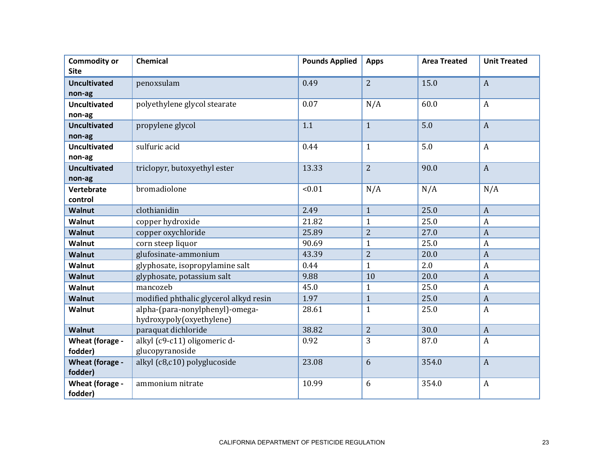| <b>Site</b><br>$\overline{2}$<br>0.49<br>15.0<br>$\boldsymbol{A}$<br><b>Uncultivated</b><br>penoxsulam<br>non-ag<br>60.0<br>$\overline{A}$<br>polyethylene glycol stearate<br>0.07<br>N/A<br><b>Uncultivated</b><br>non-ag<br>5.0<br>$\mathbf{1}$<br>$\boldsymbol{A}$<br><b>Uncultivated</b><br>propylene glycol<br>1.1<br>non-ag<br>sulfuric acid<br>0.44<br>$\mathbf{1}$<br>5.0<br>$\boldsymbol{A}$<br><b>Uncultivated</b><br>non-ag<br>$\overline{2}$<br>90.0<br><b>Uncultivated</b><br>triclopyr, butoxyethyl ester<br>13.33<br>$\boldsymbol{A}$<br>non-ag<br>bromadiolone<br>< 0.01<br>N/A<br>N/A<br>N/A<br>Vertebrate<br>control |  |
|----------------------------------------------------------------------------------------------------------------------------------------------------------------------------------------------------------------------------------------------------------------------------------------------------------------------------------------------------------------------------------------------------------------------------------------------------------------------------------------------------------------------------------------------------------------------------------------------------------------------------------------|--|
|                                                                                                                                                                                                                                                                                                                                                                                                                                                                                                                                                                                                                                        |  |
|                                                                                                                                                                                                                                                                                                                                                                                                                                                                                                                                                                                                                                        |  |
|                                                                                                                                                                                                                                                                                                                                                                                                                                                                                                                                                                                                                                        |  |
|                                                                                                                                                                                                                                                                                                                                                                                                                                                                                                                                                                                                                                        |  |
|                                                                                                                                                                                                                                                                                                                                                                                                                                                                                                                                                                                                                                        |  |
|                                                                                                                                                                                                                                                                                                                                                                                                                                                                                                                                                                                                                                        |  |
|                                                                                                                                                                                                                                                                                                                                                                                                                                                                                                                                                                                                                                        |  |
|                                                                                                                                                                                                                                                                                                                                                                                                                                                                                                                                                                                                                                        |  |
|                                                                                                                                                                                                                                                                                                                                                                                                                                                                                                                                                                                                                                        |  |
|                                                                                                                                                                                                                                                                                                                                                                                                                                                                                                                                                                                                                                        |  |
|                                                                                                                                                                                                                                                                                                                                                                                                                                                                                                                                                                                                                                        |  |
|                                                                                                                                                                                                                                                                                                                                                                                                                                                                                                                                                                                                                                        |  |
| 25.0<br>2.49<br>clothianidin<br>$\boldsymbol{A}$                                                                                                                                                                                                                                                                                                                                                                                                                                                                                                                                                                                       |  |
| $\mathbf{1}$<br><b>Walnut</b><br>25.0                                                                                                                                                                                                                                                                                                                                                                                                                                                                                                                                                                                                  |  |
| 21.82<br>$\mathbf{1}$<br>Walnut<br>copper hydroxide<br>$\boldsymbol{A}$                                                                                                                                                                                                                                                                                                                                                                                                                                                                                                                                                                |  |
| $\overline{2}$<br>27.0<br><b>Walnut</b><br>copper oxychloride<br>25.89<br>$\boldsymbol{A}$                                                                                                                                                                                                                                                                                                                                                                                                                                                                                                                                             |  |
| $\mathbf{1}$<br>25.0<br>corn steep liquor<br>90.69<br>Walnut<br>$\boldsymbol{A}$                                                                                                                                                                                                                                                                                                                                                                                                                                                                                                                                                       |  |
| glufosinate-ammonium<br>$\overline{2}$<br>20.0<br><b>Walnut</b><br>43.39<br>$\boldsymbol{A}$                                                                                                                                                                                                                                                                                                                                                                                                                                                                                                                                           |  |
| 2.0<br>glyphosate, isopropylamine salt<br>$\mathbf{1}$<br>0.44<br>$\boldsymbol{A}$<br><b>Walnut</b>                                                                                                                                                                                                                                                                                                                                                                                                                                                                                                                                    |  |
| 20.0<br>glyphosate, potassium salt<br>9.88<br>10<br>$\boldsymbol{A}$<br><b>Walnut</b>                                                                                                                                                                                                                                                                                                                                                                                                                                                                                                                                                  |  |
| 25.0<br>mancozeb<br>45.0<br>Walnut<br>$\mathbf{1}$<br>$\boldsymbol{A}$                                                                                                                                                                                                                                                                                                                                                                                                                                                                                                                                                                 |  |
| 25.0<br>1.97<br>$\mathbf{1}$<br><b>Walnut</b><br>modified phthalic glycerol alkyd resin<br>$\boldsymbol{A}$                                                                                                                                                                                                                                                                                                                                                                                                                                                                                                                            |  |
| alpha-(para-nonylphenyl)-omega-<br>$\mathbf{1}$<br>25.0<br>$\boldsymbol{A}$<br><b>Walnut</b><br>28.61<br>hydroxypoly(oxyethylene)                                                                                                                                                                                                                                                                                                                                                                                                                                                                                                      |  |
| $\overline{2}$<br>38.82<br>30.0<br>paraquat dichloride<br>$\overline{A}$<br><b>Walnut</b>                                                                                                                                                                                                                                                                                                                                                                                                                                                                                                                                              |  |
| 3<br>alkyl (c9-c11) oligomeric d-<br>87.0<br>0.92<br>$\boldsymbol{A}$<br><b>Wheat (forage -</b>                                                                                                                                                                                                                                                                                                                                                                                                                                                                                                                                        |  |
| glucopyranoside<br>fodder)                                                                                                                                                                                                                                                                                                                                                                                                                                                                                                                                                                                                             |  |
| alkyl (c8,c10) polyglucoside<br>6<br>354.0<br>23.08<br>$\boldsymbol{A}$<br>Wheat (forage -                                                                                                                                                                                                                                                                                                                                                                                                                                                                                                                                             |  |
| fodder)                                                                                                                                                                                                                                                                                                                                                                                                                                                                                                                                                                                                                                |  |
| 6<br>10.99<br>354.0<br>$\boldsymbol{A}$<br>Wheat (forage -<br>ammonium nitrate<br>fodder)                                                                                                                                                                                                                                                                                                                                                                                                                                                                                                                                              |  |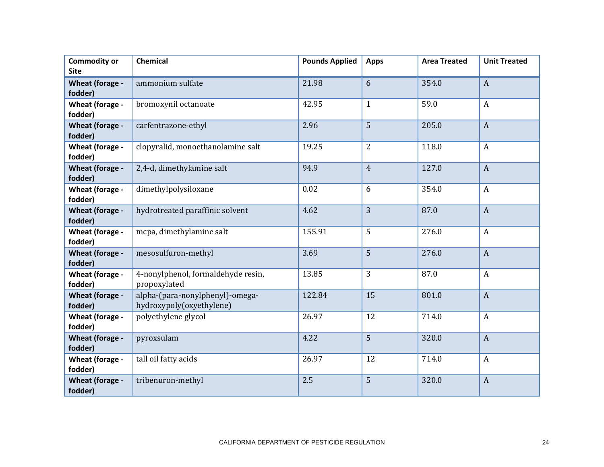| <b>Commodity or</b>               | <b>Chemical</b>                                             | <b>Pounds Applied</b> | <b>Apps</b>    | <b>Area Treated</b> | <b>Unit Treated</b> |
|-----------------------------------|-------------------------------------------------------------|-----------------------|----------------|---------------------|---------------------|
| <b>Site</b>                       |                                                             |                       |                |                     |                     |
| Wheat (forage -<br>fodder)        | ammonium sulfate                                            | 21.98                 | 6              | 354.0               | $\mathbf{A}$        |
|                                   |                                                             |                       |                |                     |                     |
| Wheat (forage -<br>fodder)        | bromoxynil octanoate                                        | 42.95                 | $\mathbf{1}$   | 59.0                | $\boldsymbol{A}$    |
| <b>Wheat (forage -</b><br>fodder) | carfentrazone-ethyl                                         | 2.96                  | 5              | 205.0               | $\boldsymbol{A}$    |
| Wheat (forage -<br>fodder)        | clopyralid, monoethanolamine salt                           | 19.25                 | $\overline{2}$ | 118.0               | $\boldsymbol{A}$    |
| Wheat (forage -<br>fodder)        | 2,4-d, dimethylamine salt                                   | 94.9                  | $\overline{4}$ | 127.0               | $\boldsymbol{A}$    |
| Wheat (forage -<br>fodder)        | dimethylpolysiloxane                                        | 0.02                  | 6              | 354.0               | $\boldsymbol{A}$    |
| Wheat (forage -<br>fodder)        | hydrotreated paraffinic solvent                             | 4.62                  | $\overline{3}$ | 87.0                | $\mathbf{A}$        |
| Wheat (forage -<br>fodder)        | mcpa, dimethylamine salt                                    | 155.91                | 5              | 276.0               | $\boldsymbol{A}$    |
| <b>Wheat (forage -</b><br>fodder) | mesosulfuron-methyl                                         | 3.69                  | 5              | 276.0               | $\boldsymbol{A}$    |
| Wheat (forage -<br>fodder)        | 4-nonylphenol, formaldehyde resin,<br>propoxylated          | 13.85                 | 3              | 87.0                | $\boldsymbol{A}$    |
| Wheat (forage -<br>fodder)        | alpha-(para-nonylphenyl)-omega-<br>hydroxypoly(oxyethylene) | 122.84                | 15             | 801.0               | $\overline{A}$      |
| Wheat (forage -<br>fodder)        | polyethylene glycol                                         | 26.97                 | 12             | 714.0               | $\boldsymbol{A}$    |
| <b>Wheat (forage -</b><br>fodder) | pyroxsulam                                                  | 4.22                  | 5              | 320.0               | $\boldsymbol{A}$    |
| Wheat (forage -<br>fodder)        | tall oil fatty acids                                        | 26.97                 | 12             | 714.0               | $\boldsymbol{A}$    |
| <b>Wheat (forage -</b><br>fodder) | tribenuron-methyl                                           | 2.5                   | 5              | 320.0               | $\boldsymbol{A}$    |